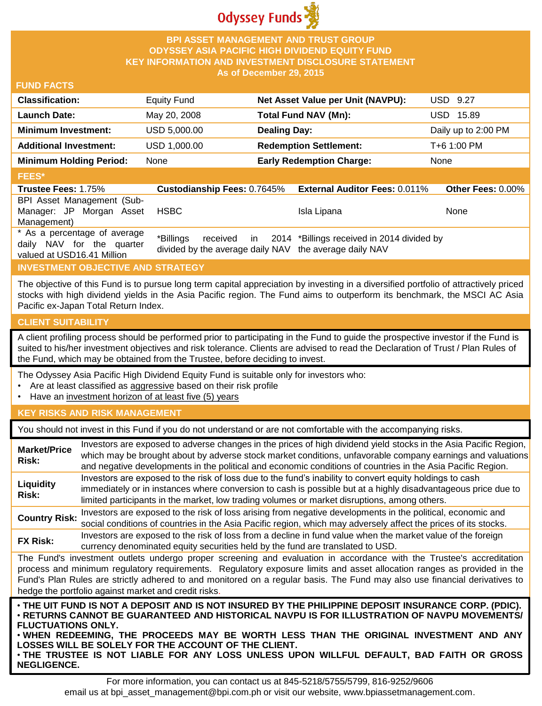

# **BPI ASSET MANAGEMENT AND TRUST GROUP ODYSSEY ASIA PACIFIC HIGH DIVIDEND EQUITY FUND KEY INFORMATION AND INVESTMENT DISCLOSURE STATEMENT As of December 29, 2015**

### **FUND FACTS**

| <b>Classification:</b>         | <b>Equity Fund</b> | Net Asset Value per Unit (NAVPU): | USD 9.27            |
|--------------------------------|--------------------|-----------------------------------|---------------------|
| <b>Launch Date:</b>            | May 20, 2008       | <b>Total Fund NAV (Mn):</b>       | USD 15.89           |
| <b>Minimum Investment:</b>     | USD 5,000.00       | <b>Dealing Day:</b>               | Daily up to 2:00 PM |
| <b>Additional Investment:</b>  | USD 1,000.00       | <b>Redemption Settlement:</b>     | T+6 1:00 PM         |
| <b>Minimum Holding Period:</b> | None               | <b>Early Redemption Charge:</b>   | None                |
| <b>FEES*</b>                   |                    |                                   |                     |

#### **Trustee Fees:** 1.75% **Custodianship Fees:** 0.7645% **External Auditor Fees:** 0.011% **Other Fees:** 0.00% BPI Asset Management (Sub-Manager: JP Morgan Asset Management) HSBC Isla Lipana None \* As a percentage of average daily NAV for the quarter valued at USD16.41 Million \*Billings received in divided by the average daily NAV the average daily NAV 2014 \*Billings received in 2014 divided by

# **INVESTMENT OBJECTIVE AND STRATEGY**

The objective of this Fund is to pursue long term capital appreciation by investing in a diversified portfolio of attractively priced stocks with high dividend yields in the Asia Pacific region. The Fund aims to outperform its benchmark, the MSCI AC Asia Pacific ex-Japan Total Return Index.

#### **CLIENT SUITABILITY**

A client profiling process should be performed prior to participating in the Fund to guide the prospective investor if the Fund is suited to his/her investment objectives and risk tolerance. Clients are advised to read the Declaration of Trust / Plan Rules of the Fund, which may be obtained from the Trustee, before deciding to invest.

The Odyssey Asia Pacific High Dividend Equity Fund is suitable only for investors who:

- Are at least classified as aggressive based on their risk profile
- Have an investment horizon of at least five (5) years

### **KEY RISKS AND RISK MANAGEMENT**

You should not invest in this Fund if you do not understand or are not comfortable with the accompanying risks.

| <b>Market/Price</b><br>Risk: | Investors are exposed to adverse changes in the prices of high dividend yield stocks in the Asia Pacific Region,<br>which may be brought about by adverse stock market conditions, unfavorable company earnings and valuations<br>and negative developments in the political and economic conditions of countries in the Asia Pacific Region.                                                                                        |
|------------------------------|--------------------------------------------------------------------------------------------------------------------------------------------------------------------------------------------------------------------------------------------------------------------------------------------------------------------------------------------------------------------------------------------------------------------------------------|
| Liquidity<br>Risk:           | Investors are exposed to the risk of loss due to the fund's inability to convert equity holdings to cash<br>immediately or in instances where conversion to cash is possible but at a highly disadvantageous price due to<br>limited participants in the market, low trading volumes or market disruptions, among others.                                                                                                            |
| <b>Country Risk:</b>         | Investors are exposed to the risk of loss arising from negative developments in the political, economic and<br>social conditions of countries in the Asia Pacific region, which may adversely affect the prices of its stocks.                                                                                                                                                                                                       |
| <b>FX Risk:</b>              | Investors are exposed to the risk of loss from a decline in fund value when the market value of the foreign<br>currency denominated equity securities held by the fund are translated to USD.                                                                                                                                                                                                                                        |
|                              | The Fund's investment outlets undergo proper screening and evaluation in accordance with the Trustee's accreditation<br>process and minimum regulatory requirements. Regulatory exposure limits and asset allocation ranges as provided in the<br>Fund's Plan Rules are strictly adhered to and monitored on a regular basis. The Fund may also use financial derivatives to<br>hedge the portfolio against market and credit risks. |
| <b>FLUCTUATIONS ONLY.</b>    | . THE UIT FUND IS NOT A DEPOSIT AND IS NOT INSURED BY THE PHILIPPINE DEPOSIT INSURANCE CORP. (PDIC).<br>· RETURNS CANNOT BE GUARANTEED AND HISTORICAL NAVPU IS FOR ILLUSTRATION OF NAVPU MOVEMENTS/<br>. WHEN REDEEMING, THE PROCEEDS MAY BE WORTH LESS THAN THE ORIGINAL INVESTMENT AND ANY<br>LOSSES WILL BE SOLELY FOR THE ACCOUNT OF THE CLIENT.                                                                                 |

• **THE TRUSTEE IS NOT LIABLE FOR ANY LOSS UNLESS UPON WILLFUL DEFAULT, BAD FAITH OR GROSS NEGLIGENCE.**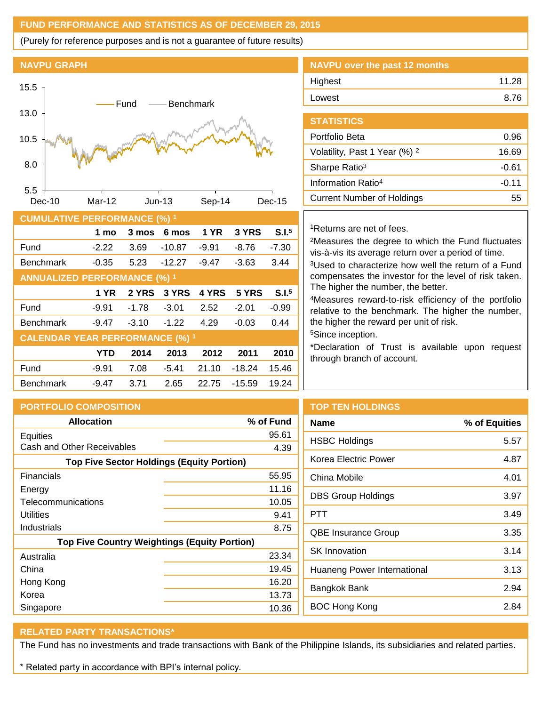# **FUND PERFORMANCE AND STATISTICS AS OF DECEMBER 29, 2015**

(Purely for reference purposes and is not a guarantee of future results)

# **NAVPU GRAPH**



| <b>CUMULATIVE PERFORMANCE (%) 1</b>    |            |         |          |             |          |                   |
|----------------------------------------|------------|---------|----------|-------------|----------|-------------------|
|                                        | 1 mo       | 3 mos   | 6 mos    | <b>1 YR</b> | 3 YRS    | S.I. <sup>5</sup> |
| Fund                                   | $-2.22$    | 3.69    | $-10.87$ | $-9.91$     | $-8.76$  | $-7.30$           |
| <b>Benchmark</b>                       | $-0.35$    | 5.23    | $-12.27$ | $-9.47$     | $-3.63$  | 3.44              |
| <b>ANNUALIZED PERFORMANCE (%) 1</b>    |            |         |          |             |          |                   |
|                                        | 1 YR       | 2 YRS   | 3 YRS    | 4 YRS       | 5 YRS    | S.I. <sup>5</sup> |
| Fund                                   | $-9.91$    | $-1.78$ | $-3.01$  | 2.52        | $-2.01$  | $-0.99$           |
| <b>Benchmark</b>                       | $-9.47$    | $-3.10$ | $-1.22$  | 4.29        | $-0.03$  | 0.44              |
| <b>CALENDAR YEAR PERFORMANCE (%) 1</b> |            |         |          |             |          |                   |
|                                        | <b>YTD</b> | 2014    | 2013     | 2012        | 2011     | 2010              |
| Fund                                   | $-9.91$    | 7.08    | $-5.41$  | 21.10       | $-18.24$ | 15.46             |
| <b>Benchmark</b>                       | $-9.47$    | 3.71    | 2.65     | 22.75       | $-15.59$ | 19.24             |

# **NAVPU over the past 12 months** Highest 11.28 Lowest 8.76

| <b>STATISTICS</b>                        |         |
|------------------------------------------|---------|
| Portfolio Beta                           | 0.96    |
| Volatility, Past 1 Year (%) <sup>2</sup> | 16.69   |
| Sharpe Ratio <sup>3</sup>                | -0.61   |
| Information Ratio <sup>4</sup>           | $-0.11$ |
| <b>Current Number of Holdings</b>        | 55      |

# <sup>1</sup>Returns are net of fees.

<sup>2</sup>Measures the degree to which the Fund fluctuates vis-à-vis its average return over a period of time.

<sup>3</sup>Used to characterize how well the return of a Fund compensates the investor for the level of risk taken. The higher the number, the better.

<sup>4</sup>Measures reward-to-risk efficiency of the portfolio relative to the benchmark. The higher the number, the higher the reward per unit of risk.

<sup>5</sup>Since inception.

\*Declaration of Trust is available upon request through branch of account.

| <b>PORTFOLIO COMPOSITION</b>                        |           | ٦ |
|-----------------------------------------------------|-----------|---|
| <b>Allocation</b>                                   | % of Fund | N |
| Equities                                            | 95.61     | H |
| Cash and Other Receivables                          | 4.39      |   |
| <b>Top Five Sector Holdings (Equity Portion)</b>    |           |   |
| Financials                                          | 55.95     | C |
| Energy                                              | 11.16     |   |
| Telecommunications                                  | 10.05     | С |
| Utilities                                           | 9.41      | F |
| Industrials                                         | 8.75      | C |
| <b>Top Five Country Weightings (Equity Portion)</b> |           |   |
| Australia                                           | 23.34     | S |
| China                                               | 19.45     | H |
| Hong Kong                                           | 16.20     | E |
| Korea                                               | 13.73     |   |
| Singapore                                           | 10.36     | Е |

# **TOP TEN HOLDINGS**

| <b>Name</b>                 | % of Equities |
|-----------------------------|---------------|
| <b>HSBC Holdings</b>        | 5.57          |
| Korea Electric Power        | 4.87          |
| China Mobile                | 4.01          |
| <b>DBS Group Holdings</b>   | 3.97          |
| PTT                         | 3.49          |
| <b>QBE Insurance Group</b>  | 3.35          |
| <b>SK</b> Innovation        | 3.14          |
| Huaneng Power International | 3.13          |
| Bangkok Bank                | 2.94          |
| <b>BOC Hong Kong</b>        | 2.84          |
|                             |               |

# **RELATED PARTY TRANSACTIONS\***

The Fund has no investments and trade transactions with Bank of the Philippine Islands, its subsidiaries and related parties.

\* Related party in accordance with BPI's internal policy.